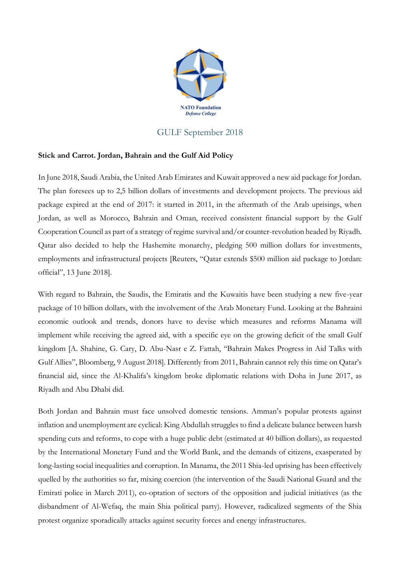

## GULF September 2018

## **Stick and Carrot. Jordan, Bahrain and the Gulf Aid Policy**

In June 2018, Saudi Arabia, the United Arab Emirates and Kuwait approved a new aid package for Jordan. The plan foresees up to 2,5 billion dollars of investments and development projects. The previous aid package expired at the end of 2017: it started in 2011, in the aftermath of the Arab uprisings, when Jordan, as well as Morocco, Bahrain and Oman, received consistent financial support by the Gulf Cooperation Council as part of a strategy of regime survival and/or counter-revolution headed by Riyadh. Qatar also decided to help the Hashemite monarchy, pledging 500 million dollars for investments, employments and infrastructural projects [Reuters, "Qatar extends \$500 million aid package to Jordan: official", 13 June 2018].

With regard to Bahrain, the Saudis, the Emiratis and the Kuwaitis have been studying a new five-year package of 10 billion dollars, with the involvement of the Arab Monetary Fund. Looking at the Bahraini economic outlook and trends, donors have to devise which measures and reforms Manama will implement while receiving the agreed aid, with a specific eye on the growing deficit of the small Gulf kingdom [A. Shahine, G. Cary, D. Abu-Nasr e Z. Fattah, "Bahrain Makes Progress in Aid Talks with Gulf Allies", Bloomberg, 9 August 2018]. Differently from 2011, Bahrain cannot rely this time on Qatar's financial aid, since the Al-Khalifa's kingdom broke diplomatic relations with Doha in June 2017, as Riyadh and Abu Dhabi did.

Both Jordan and Bahrain must face unsolved domestic tensions. Amman's popular protests against inflation and unemployment are cyclical: King Abdullah struggles to find a delicate balance between harsh spending cuts and reforms, to cope with a huge public debt (estimated at 40 billion dollars), as requested by the International Monetary Fund and the World Bank, and the demands of citizens, exasperated by long-lasting social inequalities and corruption. In Manama, the 2011 Shia-led uprising has been effectively quelled by the authorities so far, mixing coercion (the intervention of the Saudi National Guard and the Emirati police in March 2011), co-optation of sectors of the opposition and judicial initiatives (as the disbandment of Al-Wefaq, the main Shia political party). However, radicalized segments of the Shia protest organize sporadically attacks against security forces and energy infrastructures.